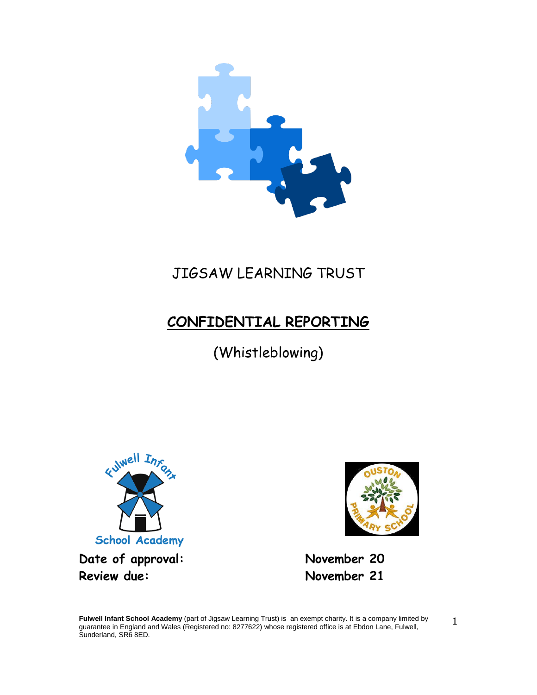

# JIGSAW LEARNING TRUST

# **CONFIDENTIAL REPORTING**

(Whistleblowing)





**Fulwell Infant School Academy** (part of Jigsaw Learning Trust) is an exempt charity. It is a company limited by guarantee in England and Wales (Registered no: 8277622) whose registered office is at Ebdon Lane, Fulwell, Sunderland, SR6 8ED.

1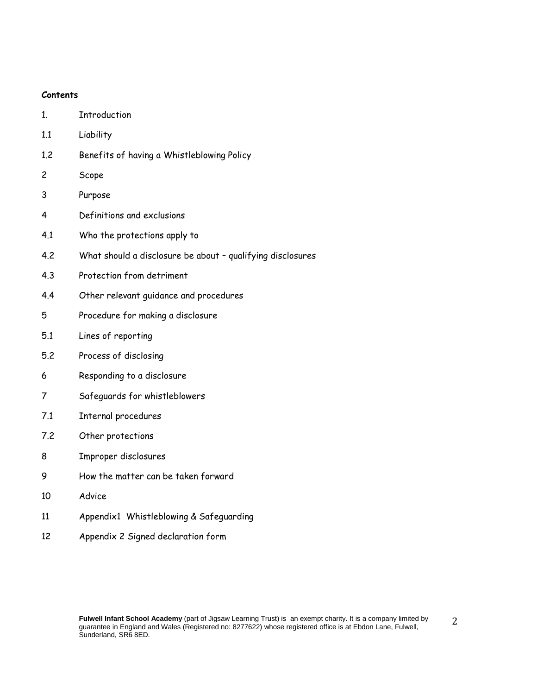#### **Contents**

- 1. Introduction
- 1.1 Liability
- 1.2 Benefits of having a Whistleblowing Policy
- 2 Scope
- 3 Purpose
- 4 Definitions and exclusions
- 4.1 Who the protections apply to
- 4.2 What should a disclosure be about qualifying disclosures
- 4.3 Protection from detriment
- 4.4 Other relevant guidance and procedures
- 5 Procedure for making a disclosure
- 5.1 Lines of reporting
- 5.2 Process of disclosing
- 6 Responding to a disclosure
- 7 Safeguards for whistleblowers
- 7.1 Internal procedures
- 7.2 Other protections
- 8 Improper disclosures
- 9 How the matter can be taken forward
- 10 Advice
- 11 Appendix1 Whistleblowing & Safeguarding
- 12 Appendix 2 Signed declaration form

2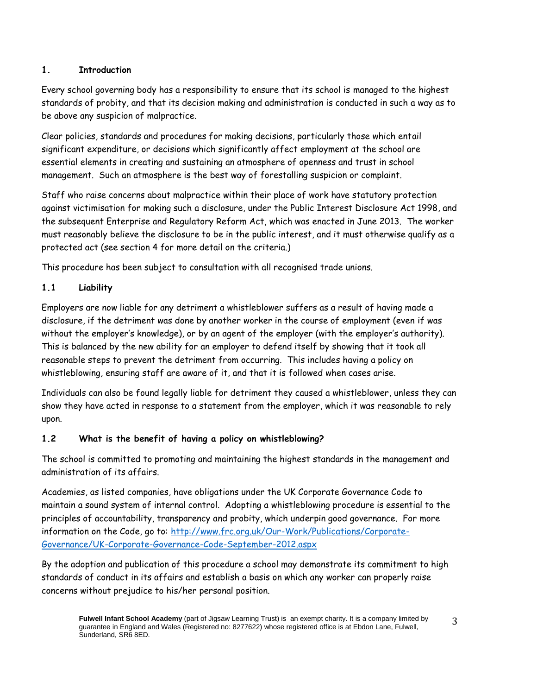# **1. Introduction**

Every school governing body has a responsibility to ensure that its school is managed to the highest standards of probity, and that its decision making and administration is conducted in such a way as to be above any suspicion of malpractice.

Clear policies, standards and procedures for making decisions, particularly those which entail significant expenditure, or decisions which significantly affect employment at the school are essential elements in creating and sustaining an atmosphere of openness and trust in school management. Such an atmosphere is the best way of forestalling suspicion or complaint.

Staff who raise concerns about malpractice within their place of work have statutory protection against victimisation for making such a disclosure, under the Public Interest Disclosure Act 1998, and the subsequent Enterprise and Regulatory Reform Act, which was enacted in June 2013. The worker must reasonably believe the disclosure to be in the public interest, and it must otherwise qualify as a protected act (see section 4 for more detail on the criteria.)

This procedure has been subject to consultation with all recognised trade unions.

# **1.1 Liability**

Employers are now liable for any detriment a whistleblower suffers as a result of having made a disclosure, if the detriment was done by another worker in the course of employment (even if was without the employer's knowledge), or by an agent of the employer (with the employer's authority). This is balanced by the new ability for an employer to defend itself by showing that it took all reasonable steps to prevent the detriment from occurring. This includes having a policy on whistleblowing, ensuring staff are aware of it, and that it is followed when cases arise.

Individuals can also be found legally liable for detriment they caused a whistleblower, unless they can show they have acted in response to a statement from the employer, which it was reasonable to rely upon.

### **1.2 What is the benefit of having a policy on whistleblowing?**

The school is committed to promoting and maintaining the highest standards in the management and administration of its affairs.

Academies, as listed companies, have obligations under the UK Corporate Governance Code to maintain a sound system of internal control. Adopting a whistleblowing procedure is essential to the principles of accountability, transparency and probity, which underpin good governance. For more information on the Code, go to: [http://www.frc.org.uk/Our-Work/Publications/Corporate-](http://www.frc.org.uk/Our-Work/Publications/Corporate-Governance/UK-Corporate-Governance-Code-September-2012.aspx)[Governance/UK-Corporate-Governance-Code-September-2012.aspx](http://www.frc.org.uk/Our-Work/Publications/Corporate-Governance/UK-Corporate-Governance-Code-September-2012.aspx)

By the adoption and publication of this procedure a school may demonstrate its commitment to high standards of conduct in its affairs and establish a basis on which any worker can properly raise concerns without prejudice to his/her personal position.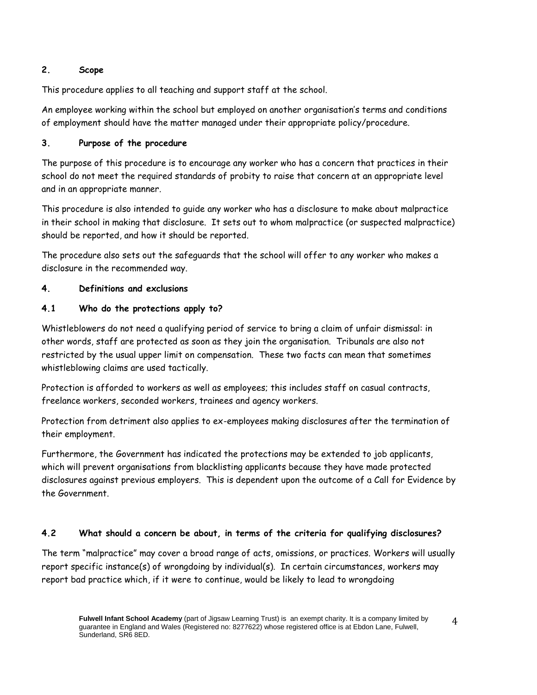## **2. Scope**

This procedure applies to all teaching and support staff at the school.

An employee working within the school but employed on another organisation's terms and conditions of employment should have the matter managed under their appropriate policy/procedure.

# **3. Purpose of the procedure**

The purpose of this procedure is to encourage any worker who has a concern that practices in their school do not meet the required standards of probity to raise that concern at an appropriate level and in an appropriate manner.

This procedure is also intended to guide any worker who has a disclosure to make about malpractice in their school in making that disclosure. It sets out to whom malpractice (or suspected malpractice) should be reported, and how it should be reported.

The procedure also sets out the safeguards that the school will offer to any worker who makes a disclosure in the recommended way.

# **4. Definitions and exclusions**

# **4.1 Who do the protections apply to?**

Whistleblowers do not need a qualifying period of service to bring a claim of unfair dismissal: in other words, staff are protected as soon as they join the organisation. Tribunals are also not restricted by the usual upper limit on compensation. These two facts can mean that sometimes whistleblowing claims are used tactically.

Protection is afforded to workers as well as employees; this includes staff on casual contracts, freelance workers, seconded workers, trainees and agency workers.

Protection from detriment also applies to ex-employees making disclosures after the termination of their employment.

Furthermore, the Government has indicated the protections may be extended to job applicants, which will prevent organisations from blacklisting applicants because they have made protected disclosures against previous employers. This is dependent upon the outcome of a Call for Evidence by the Government.

### **4.2 What should a concern be about, in terms of the criteria for qualifying disclosures?**

The term "malpractice" may cover a broad range of acts, omissions, or practices. Workers will usually report specific instance(s) of wrongdoing by individual(s). In certain circumstances, workers may report bad practice which, if it were to continue, would be likely to lead to wrongdoing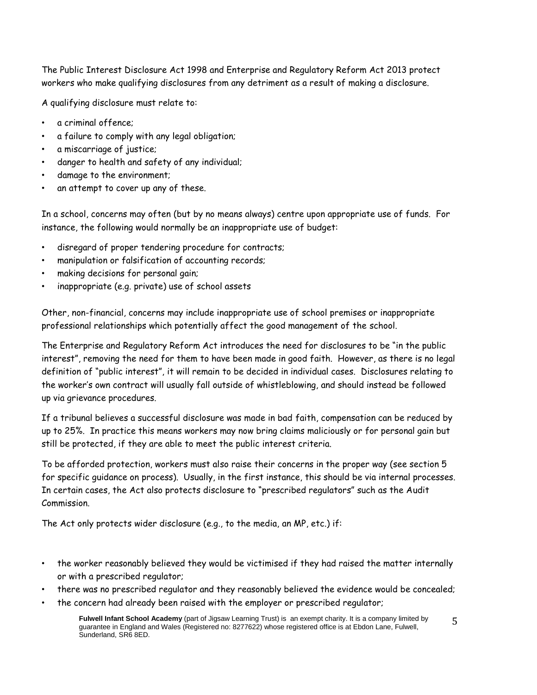The Public Interest Disclosure Act 1998 and Enterprise and Regulatory Reform Act 2013 protect workers who make qualifying disclosures from any detriment as a result of making a disclosure.

A qualifying disclosure must relate to:

- a criminal offence;
- a failure to comply with any legal obligation;
- a miscarriage of justice;
- danger to health and safety of any individual;
- damage to the environment;
- an attempt to cover up any of these.

In a school, concerns may often (but by no means always) centre upon appropriate use of funds. For instance, the following would normally be an inappropriate use of budget:

- disregard of proper tendering procedure for contracts;
- manipulation or falsification of accounting records;
- making decisions for personal gain;
- inappropriate (e.g. private) use of school assets

Other, non-financial, concerns may include inappropriate use of school premises or inappropriate professional relationships which potentially affect the good management of the school.

The Enterprise and Regulatory Reform Act introduces the need for disclosures to be "in the public interest", removing the need for them to have been made in good faith. However, as there is no legal definition of "public interest", it will remain to be decided in individual cases. Disclosures relating to the worker's own contract will usually fall outside of whistleblowing, and should instead be followed up via grievance procedures.

If a tribunal believes a successful disclosure was made in bad faith, compensation can be reduced by up to 25%. In practice this means workers may now bring claims maliciously or for personal gain but still be protected, if they are able to meet the public interest criteria.

To be afforded protection, workers must also raise their concerns in the proper way (see section 5 for specific guidance on process). Usually, in the first instance, this should be via internal processes. In certain cases, the Act also protects disclosure to "prescribed regulators" such as the Audit Commission.

The Act only protects wider disclosure (e.g., to the media, an MP, etc.) if:

- the worker reasonably believed they would be victimised if they had raised the matter internally or with a prescribed regulator;
- there was no prescribed regulator and they reasonably believed the evidence would be concealed;
- the concern had already been raised with the employer or prescribed regulator;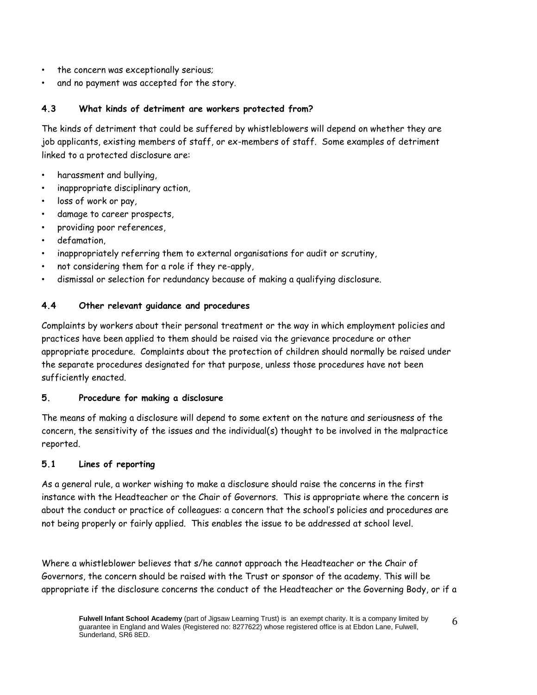- the concern was exceptionally serious;
- and no payment was accepted for the story.

## **4.3 What kinds of detriment are workers protected from?**

The kinds of detriment that could be suffered by whistleblowers will depend on whether they are job applicants, existing members of staff, or ex-members of staff. Some examples of detriment linked to a protected disclosure are:

- harassment and bullying,
- inappropriate disciplinary action,
- loss of work or pay,
- damage to career prospects,
- providing poor references,
- defamation.
- inappropriately referring them to external organisations for audit or scrutiny,
- not considering them for a role if they re-apply,
- dismissal or selection for redundancy because of making a qualifying disclosure.

### **4.4 Other relevant guidance and procedures**

Complaints by workers about their personal treatment or the way in which employment policies and practices have been applied to them should be raised via the grievance procedure or other appropriate procedure. Complaints about the protection of children should normally be raised under the separate procedures designated for that purpose, unless those procedures have not been sufficiently enacted.

### **5. Procedure for making a disclosure**

The means of making a disclosure will depend to some extent on the nature and seriousness of the concern, the sensitivity of the issues and the individual(s) thought to be involved in the malpractice reported.

### **5.1 Lines of reporting**

As a general rule, a worker wishing to make a disclosure should raise the concerns in the first instance with the Headteacher or the Chair of Governors. This is appropriate where the concern is about the conduct or practice of colleagues: a concern that the school's policies and procedures are not being properly or fairly applied. This enables the issue to be addressed at school level.

Where a whistleblower believes that s/he cannot approach the Headteacher or the Chair of Governors, the concern should be raised with the Trust or sponsor of the academy. This will be appropriate if the disclosure concerns the conduct of the Headteacher or the Governing Body, or if a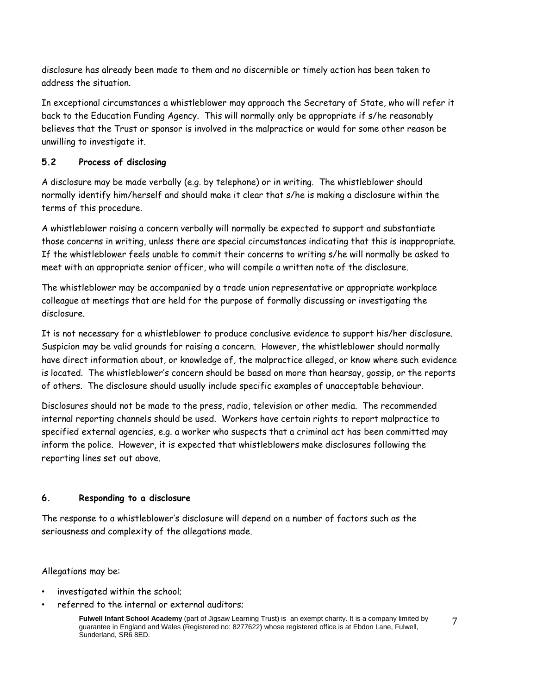disclosure has already been made to them and no discernible or timely action has been taken to address the situation.

In exceptional circumstances a whistleblower may approach the Secretary of State, who will refer it back to the Education Funding Agency. This will normally only be appropriate if s/he reasonably believes that the Trust or sponsor is involved in the malpractice or would for some other reason be unwilling to investigate it.

# **5.2 Process of disclosing**

A disclosure may be made verbally (e.g. by telephone) or in writing. The whistleblower should normally identify him/herself and should make it clear that s/he is making a disclosure within the terms of this procedure.

A whistleblower raising a concern verbally will normally be expected to support and substantiate those concerns in writing, unless there are special circumstances indicating that this is inappropriate. If the whistleblower feels unable to commit their concerns to writing s/he will normally be asked to meet with an appropriate senior officer, who will compile a written note of the disclosure.

The whistleblower may be accompanied by a trade union representative or appropriate workplace colleague at meetings that are held for the purpose of formally discussing or investigating the disclosure.

It is not necessary for a whistleblower to produce conclusive evidence to support his/her disclosure. Suspicion may be valid grounds for raising a concern. However, the whistleblower should normally have direct information about, or knowledge of, the malpractice alleged, or know where such evidence is located. The whistleblower's concern should be based on more than hearsay, gossip, or the reports of others. The disclosure should usually include specific examples of unacceptable behaviour.

Disclosures should not be made to the press, radio, television or other media. The recommended internal reporting channels should be used. Workers have certain rights to report malpractice to specified external agencies, e.g. a worker who suspects that a criminal act has been committed may inform the police. However, it is expected that whistleblowers make disclosures following the reporting lines set out above.

### **6. Responding to a disclosure**

The response to a whistleblower's disclosure will depend on a number of factors such as the seriousness and complexity of the allegations made.

Allegations may be:

- investigated within the school;
- referred to the internal or external auditors;

**Fulwell Infant School Academy** (part of Jigsaw Learning Trust) is an exempt charity. It is a company limited by guarantee in England and Wales (Registered no: 8277622) whose registered office is at Ebdon Lane, Fulwell, Sunderland, SR6 8ED.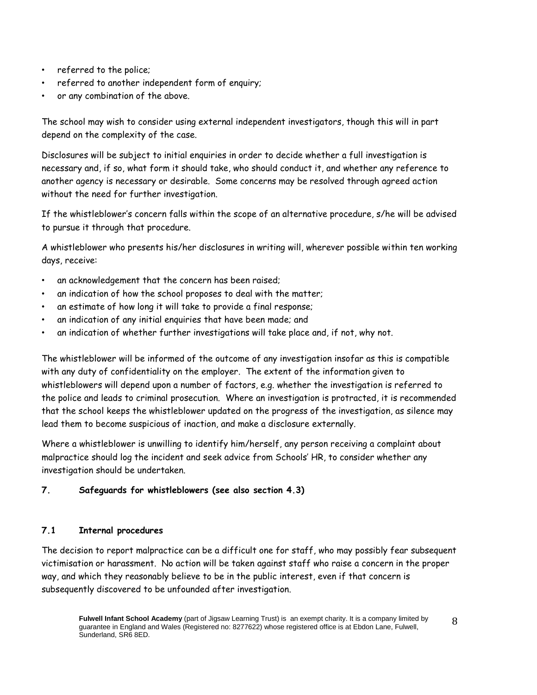- referred to the police;
- referred to another independent form of enquiry;
- or any combination of the above.

The school may wish to consider using external independent investigators, though this will in part depend on the complexity of the case.

Disclosures will be subject to initial enquiries in order to decide whether a full investigation is necessary and, if so, what form it should take, who should conduct it, and whether any reference to another agency is necessary or desirable. Some concerns may be resolved through agreed action without the need for further investigation.

If the whistleblower's concern falls within the scope of an alternative procedure, s/he will be advised to pursue it through that procedure.

A whistleblower who presents his/her disclosures in writing will, wherever possible within ten working days, receive:

- an acknowledgement that the concern has been raised;
- an indication of how the school proposes to deal with the matter;
- an estimate of how long it will take to provide a final response;
- an indication of any initial enquiries that have been made; and
- an indication of whether further investigations will take place and, if not, why not.

The whistleblower will be informed of the outcome of any investigation insofar as this is compatible with any duty of confidentiality on the employer. The extent of the information given to whistleblowers will depend upon a number of factors, e.g. whether the investigation is referred to the police and leads to criminal prosecution. Where an investigation is protracted, it is recommended that the school keeps the whistleblower updated on the progress of the investigation, as silence may lead them to become suspicious of inaction, and make a disclosure externally.

Where a whistleblower is unwilling to identify him/herself, any person receiving a complaint about malpractice should log the incident and seek advice from Schools' HR, to consider whether any investigation should be undertaken.

### **7. Safeguards for whistleblowers (see also section 4.3)**

#### **7.1 Internal procedures**

The decision to report malpractice can be a difficult one for staff, who may possibly fear subsequent victimisation or harassment. No action will be taken against staff who raise a concern in the proper way, and which they reasonably believe to be in the public interest, even if that concern is subsequently discovered to be unfounded after investigation.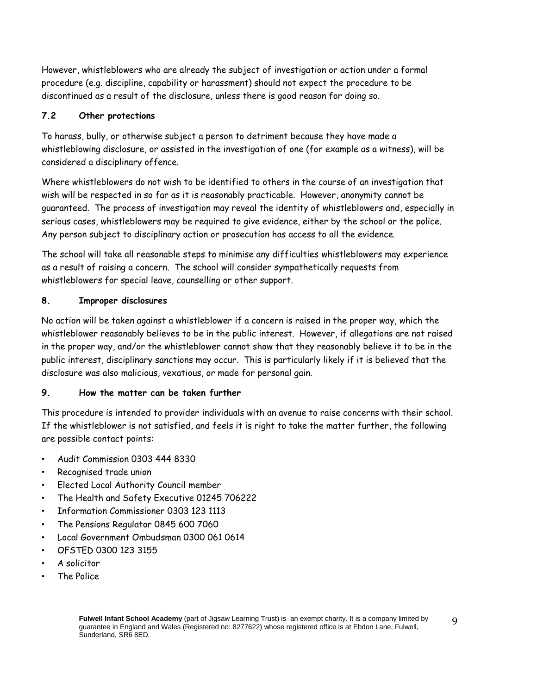However, whistleblowers who are already the subject of investigation or action under a formal procedure (e.g. discipline, capability or harassment) should not expect the procedure to be discontinued as a result of the disclosure, unless there is good reason for doing so.

# **7.2 Other protections**

To harass, bully, or otherwise subject a person to detriment because they have made a whistleblowing disclosure, or assisted in the investigation of one (for example as a witness), will be considered a disciplinary offence.

Where whistleblowers do not wish to be identified to others in the course of an investigation that wish will be respected in so far as it is reasonably practicable. However, anonymity cannot be guaranteed. The process of investigation may reveal the identity of whistleblowers and, especially in serious cases, whistleblowers may be required to give evidence, either by the school or the police. Any person subject to disciplinary action or prosecution has access to all the evidence.

The school will take all reasonable steps to minimise any difficulties whistleblowers may experience as a result of raising a concern. The school will consider sympathetically requests from whistleblowers for special leave, counselling or other support.

# **8. Improper disclosures**

No action will be taken against a whistleblower if a concern is raised in the proper way, which the whistleblower reasonably believes to be in the public interest. However, if allegations are not raised in the proper way, and/or the whistleblower cannot show that they reasonably believe it to be in the public interest, disciplinary sanctions may occur. This is particularly likely if it is believed that the disclosure was also malicious, vexatious, or made for personal gain.

# **9. How the matter can be taken further**

This procedure is intended to provider individuals with an avenue to raise concerns with their school. If the whistleblower is not satisfied, and feels it is right to take the matter further, the following are possible contact points:

- Audit Commission 0303 444 8330
- Recognised trade union
- Elected Local Authority Council member
- The Health and Safety Executive 01245 706222
- Information Commissioner 0303 123 1113
- The Pensions Regulator 0845 600 7060
- Local Government Ombudsman 0300 061 0614
- OFSTED 0300 123 3155
- A solicitor
- The Police

 $\mathbf{q}$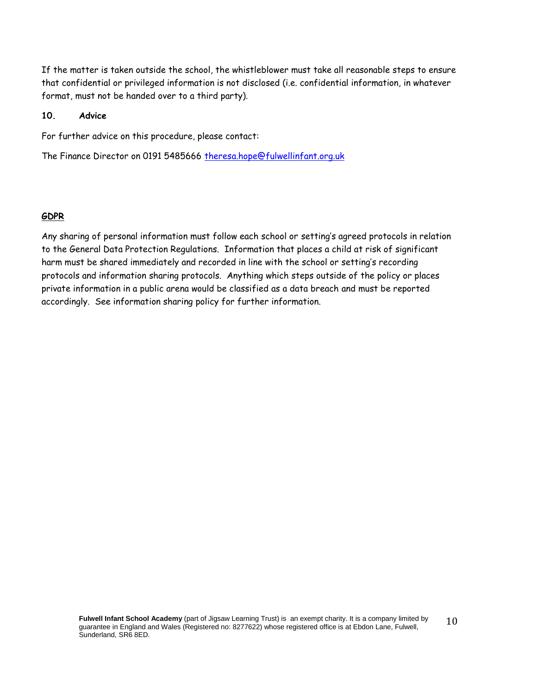If the matter is taken outside the school, the whistleblower must take all reasonable steps to ensure that confidential or privileged information is not disclosed (i.e. confidential information, in whatever format, must not be handed over to a third party).

#### **10. Advice**

For further advice on this procedure, please contact:

The Finance Director on 0191 5485666 [theresa.hope@fulwellinfant.org.uk](mailto:theresa.hope@fulwellinfant.org.uk)

#### **GDPR**

Any sharing of personal information must follow each school or setting's agreed protocols in relation to the General Data Protection Regulations. Information that places a child at risk of significant harm must be shared immediately and recorded in line with the school or setting's recording protocols and information sharing protocols. Anything which steps outside of the policy or places private information in a public arena would be classified as a data breach and must be reported accordingly. See information sharing policy for further information.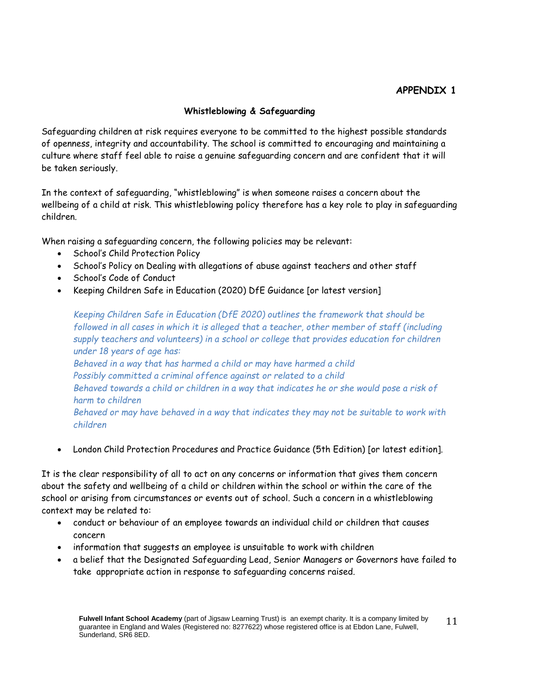# **APPENDIX 1**

#### **Whistleblowing & Safeguarding**

Safeguarding children at risk requires everyone to be committed to the highest possible standards of openness, integrity and accountability. The school is committed to encouraging and maintaining a culture where staff feel able to raise a genuine safeguarding concern and are confident that it will be taken seriously.

In the context of safeguarding, "whistleblowing" is when someone raises a concern about the wellbeing of a child at risk. This whistleblowing policy therefore has a key role to play in safeguarding children.

When raising a safeguarding concern, the following policies may be relevant:

- School's Child Protection Policy
- School's Policy on Dealing with allegations of abuse against teachers and other staff
- School's Code of Conduct
- Keeping Children Safe in Education (2020) DfE Guidance [or latest version]

*Keeping Children Safe in Education (DfE 2020) outlines the framework that should be followed in all cases in which it is alleged that a teacher, other member of staff (including supply teachers and volunteers) in a school or college that provides education for children under 18 years of age has:*

*Behaved in a way that has harmed a child or may have harmed a child Possibly committed a criminal offence against or related to a child Behaved towards a child or children in a way that indicates he or she would pose a risk of harm to children Behaved or may have behaved in a way that indicates they may not be suitable to work with children*

London Child Protection Procedures and Practice Guidance (5th Edition) [or latest edition].

It is the clear responsibility of all to act on any concerns or information that gives them concern about the safety and wellbeing of a child or children within the school or within the care of the school or arising from circumstances or events out of school. Such a concern in a whistleblowing context may be related to:

- conduct or behaviour of an employee towards an individual child or children that causes concern
- information that suggests an employee is unsuitable to work with children
- a belief that the Designated Safeguarding Lead, Senior Managers or Governors have failed to take appropriate action in response to safeguarding concerns raised.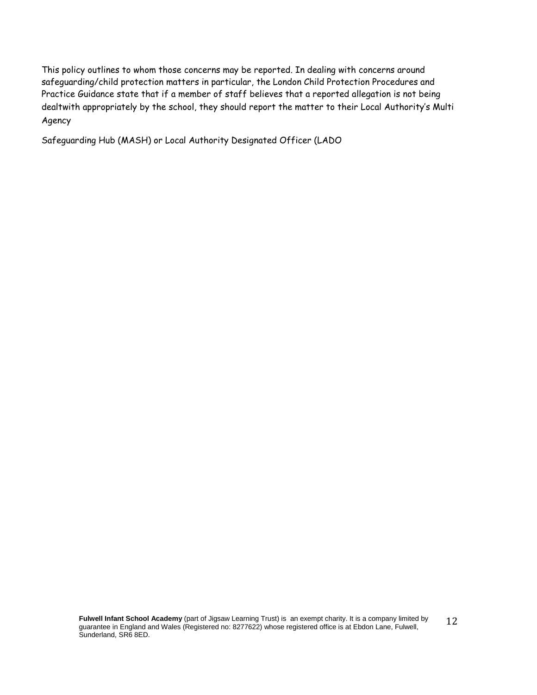This policy outlines to whom those concerns may be reported. In dealing with concerns around safeguarding/child protection matters in particular, the London Child Protection Procedures and Practice Guidance state that if a member of staff believes that a reported allegation is not being dealtwith appropriately by the school, they should report the matter to their Local Authority's Multi Agency

Safeguarding Hub (MASH) or Local Authority Designated Officer (LADO

**Fulwell Infant School Academy** (part of Jigsaw Learning Trust) is an exempt charity. It is a company limited by guarantee in England and Wales (Registered no: 8277622) whose registered office is at Ebdon Lane, Fulwell, Sunderland, SR6 8ED. 12